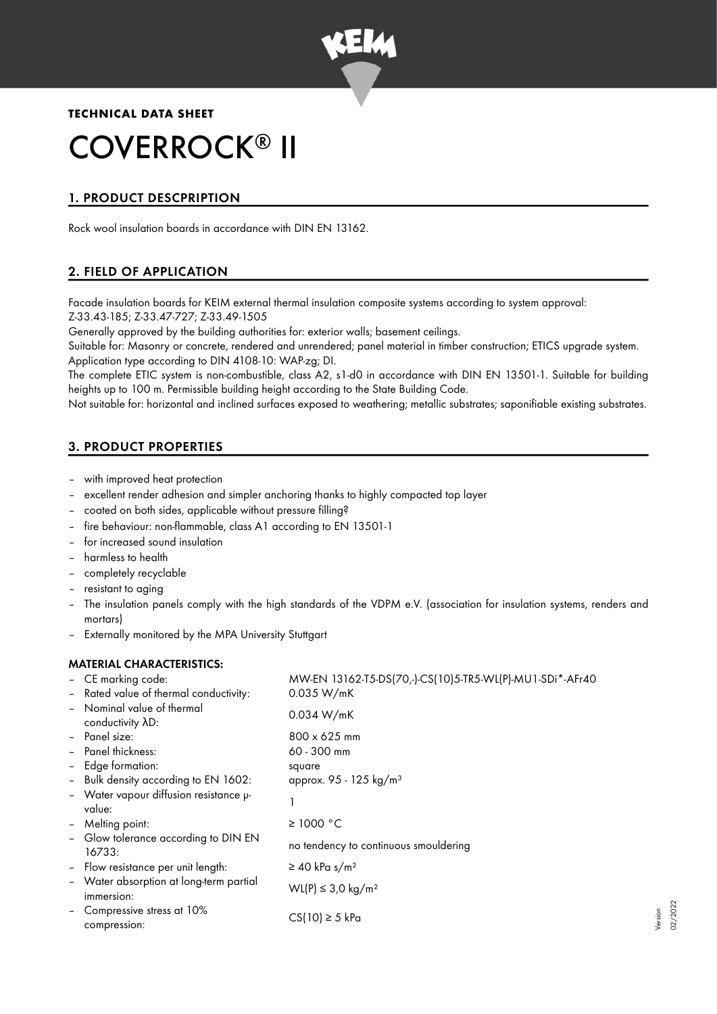

# **TECHNICAL DATA SHEET** COVERROCK<sup>®</sup> II

# 1. PRODUCT DESCPRIPTION

Rock wool insulation boards in accordance with DIN EN 13162.

# 2. FIELD OF APPLICATION

Facade insulation boards for KEIM external thermal insulation composite systems according to system approval: Z-33.43-185; Z-33.47-727; Z-33.49-1505

Generally approved by the building authorities for: exterior walls; basement ceilings.

Suitable for: Masonry or concrete, rendered and unrendered; panel material in timber construction; ETICS upgrade system. Application type according to DIN 4108-10: WAP-zg; DI.

The complete ETIC system is non-combustible, class A2, s1-d0 in accordance with DIN EN 13501-1. Suitable for building heights up to 100 m. Permissible building height according to the State Building Code.

Not suitable for: horizontal and inclined surfaces exposed to weathering; metallic substrates; saponifiable existing substrates.

# 3. PRODUCT PROPERTIES

- with improved heat protection
- excellent render adhesion and simpler anchoring thanks to highly compacted top layer
- coated on both sides, applicable without pressure filling?
- fire behaviour: non-flammable, class A1 according to EN 13501-1
- for increased sound insulation
- harmless to health
- completely recyclable
- resistant to aging
- The insulation panels comply with the high standards of the VDPM e.V. (association for insulation systems, renders and mortars)
- Externally monitored by the MPA University Stuttgart

## MATERIAL CHARACTERISTICS:

|                          | - CE marking code:                                    | MW-EN 13162-T5-DS(70,-)-CS(10)5-TR5-WL(P)-MU1-SDi*-AFr40 |
|--------------------------|-------------------------------------------------------|----------------------------------------------------------|
|                          | - Rated value of thermal conductivity:                | 0.035 W/mK                                               |
| $\overline{\phantom{a}}$ | Nominal value of thermal<br>conductivity AD:          | 0.034 W/mK                                               |
| $\equiv$                 | Panel size:                                           | $800 \times 625$ mm                                      |
| $\overline{\phantom{a}}$ | Panel thickness:                                      | $60 - 300$ mm                                            |
|                          | - Edge formation:                                     | square                                                   |
|                          | - Bulk density according to EN 1602:                  | approx. 95 - 125 kg/m <sup>3</sup>                       |
|                          | - Water vapour diffusion resistance $\mu$ -<br>value: |                                                          |
|                          | - Melting point:                                      | $\geq$ 1000 °C                                           |
|                          | - Glow tolerance according to DIN EN<br>16733:        | no tendency to continuous smouldering                    |
|                          | - Flow resistance per unit length:                    | $\geq$ 40 kPa s/m <sup>2</sup>                           |
|                          | - Water absorption at long-term partial<br>immersion: | WL(P) ≤ 3,0 kg/m <sup>2</sup>                            |
|                          | Compressive stress at 10%<br>compression:             | $CS(10) \geq 5$ kPa                                      |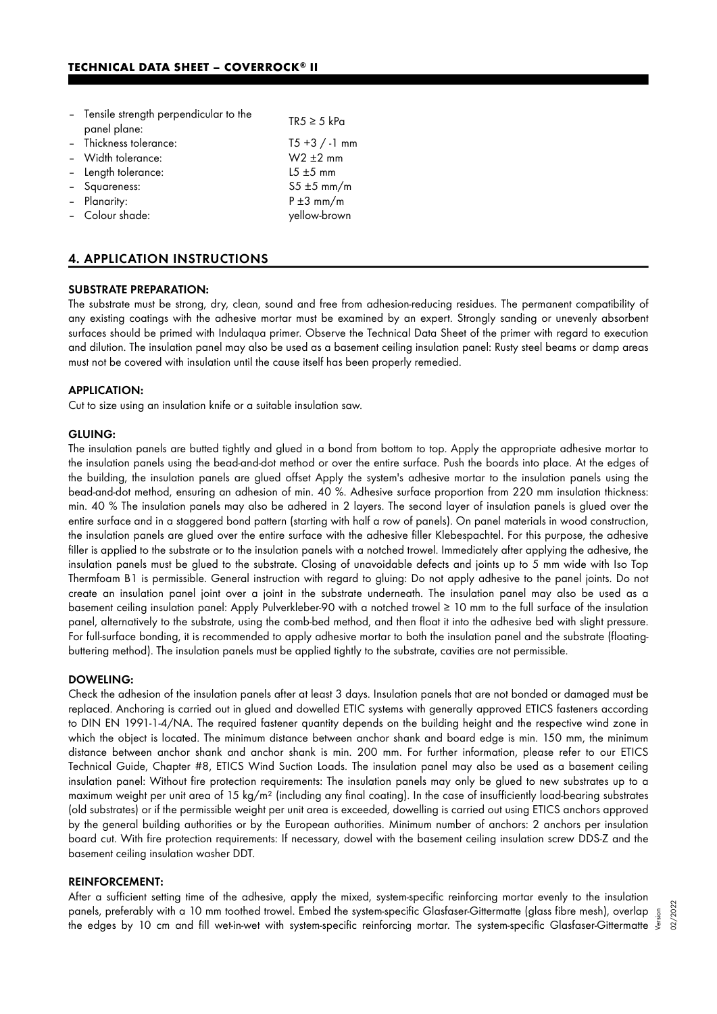| - Tensile strength perpendicular to the<br>panel plane: | $TR5 \geq 5$ kPa |
|---------------------------------------------------------|------------------|
| - Thickness tolerance:                                  | $T5 + 3 / -1$ mm |
| - Width tolerance:                                      | $W2 \pm 2$ mm    |
| - Length tolerance:                                     | $15 \pm 5$ mm    |
| - Squareness:                                           | $55 \pm 5$ mm/m  |
| - Planarity:                                            | $P \pm 3$ mm/m   |
| - Colour shade:                                         | yellow-brown     |
|                                                         |                  |

# 4. APPLICATION INSTRUCTIONS

#### SUBSTRATE PREPARATION:

The substrate must be strong, dry, clean, sound and free from adhesion-reducing residues. The permanent compatibility of any existing coatings with the adhesive mortar must be examined by an expert. Strongly sanding or unevenly absorbent surfaces should be primed with Indulaqua primer. Observe the Technical Data Sheet of the primer with regard to execution and dilution. The insulation panel may also be used as a basement ceiling insulation panel: Rusty steel beams or damp areas must not be covered with insulation until the cause itself has been properly remedied.

#### APPLICATION:

Cut to size using an insulation knife or a suitable insulation saw.

#### GLUING:

The insulation panels are butted tightly and glued in a bond from bottom to top. Apply the appropriate adhesive mortar to the insulation panels using the bead-and-dot method or over the entire surface. Push the boards into place. At the edges of the building, the insulation panels are glued offset Apply the system's adhesive mortar to the insulation panels using the bead-and-dot method, ensuring an adhesion of min. 40 %. Adhesive surface proportion from 220 mm insulation thickness: min. 40 % The insulation panels may also be adhered in 2 layers. The second layer of insulation panels is glued over the entire surface and in a staggered bond pattern (starting with half a row of panels). On panel materials in wood construction, the insulation panels are glued over the entire surface with the adhesive filler Klebespachtel. For this purpose, the adhesive filler is applied to the substrate or to the insulation panels with a notched trowel. Immediately after applying the adhesive, the insulation panels must be glued to the substrate. Closing of unavoidable defects and joints up to 5 mm wide with Iso Top Thermfoam B1 is permissible. General instruction with regard to gluing: Do not apply adhesive to the panel joints. Do not create an insulation panel joint over a joint in the substrate underneath. The insulation panel may also be used as a basement ceiling insulation panel: Apply Pulverkleber-90 with a notched trowel ≥ 10 mm to the full surface of the insulation panel, alternatively to the substrate, using the comb-bed method, and then float it into the adhesive bed with slight pressure. For full-surface bonding, it is recommended to apply adhesive mortar to both the insulation panel and the substrate (floatingbuttering method). The insulation panels must be applied tightly to the substrate, cavities are not permissible.

#### DOWELING:

Check the adhesion of the insulation panels after at least 3 days. Insulation panels that are not bonded or damaged must be replaced. Anchoring is carried out in glued and dowelled ETIC systems with generally approved ETICS fasteners according to DIN EN 1991-1-4/NA. The required fastener quantity depends on the building height and the respective wind zone in which the object is located. The minimum distance between anchor shank and board edge is min. 150 mm, the minimum distance between anchor shank and anchor shank is min. 200 mm. For further information, please refer to our ETICS Technical Guide, Chapter #8, ETICS Wind Suction Loads. The insulation panel may also be used as a basement ceiling insulation panel: Without fire protection requirements: The insulation panels may only be glued to new substrates up to a maximum weight per unit area of 15 kg/m² (including any final coating). In the case of insufficiently load-bearing substrates (old substrates) or if the permissible weight per unit area is exceeded, dowelling is carried out using ETICS anchors approved by the general building authorities or by the European authorities. Minimum number of anchors: 2 anchors per insulation board cut. With fire protection requirements: If necessary, dowel with the basement ceiling insulation screw DDS-Z and the basement ceiling insulation washer DDT.

#### REINFORCEMENT:

After a sufficient setting time of the adhesive, apply the mixed, system-specific reinforcing mortar evenly to the insulation panels, preferably with a 10 mm toothed trowel. Embed the system-specific Glasfaser-Gittermatte (glass fibre mesh), overlap panels, preferably with a 10 mm toothed trowel. Embed the system-specific Glasfaser-Gittermatte (glass fibre mesh), overlap  $\frac{5}{3}$ <br>"Ine edges by 10 cm and fill wet-in-wet with system-specific reinforcing mortar. The sys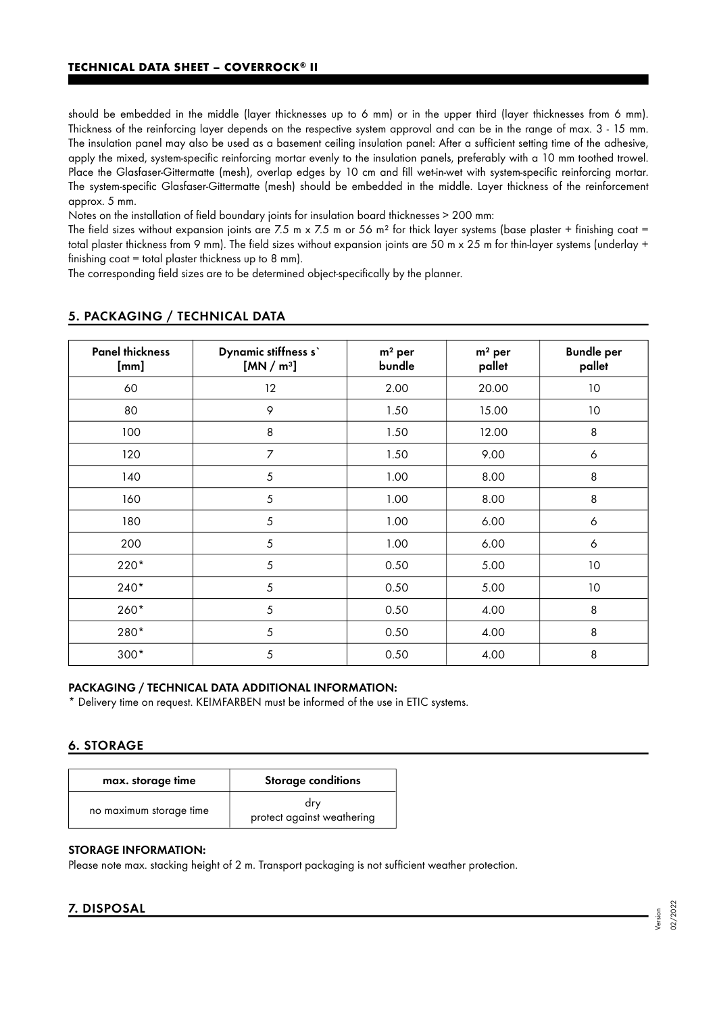should be embedded in the middle (layer thicknesses up to 6 mm) or in the upper third (layer thicknesses from 6 mm). Thickness of the reinforcing layer depends on the respective system approval and can be in the range of max. 3 - 15 mm. The insulation panel may also be used as a basement ceiling insulation panel: After a sufficient setting time of the adhesive, apply the mixed, system-specific reinforcing mortar evenly to the insulation panels, preferably with a 10 mm toothed trowel. Place the Glasfaser-Gittermatte (mesh), overlap edges by 10 cm and fill wet-in-wet with system-specific reinforcing mortar. The system-specific Glasfaser-Gittermatte (mesh) should be embedded in the middle. Layer thickness of the reinforcement approx. 5 mm.

Notes on the installation of field boundary joints for insulation board thicknesses > 200 mm:

The field sizes without expansion joints are 7.5 m x 7.5 m or 56 m<sup>2</sup> for thick layer systems (base plaster + finishing coat = total plaster thickness from 9 mm). The field sizes without expansion joints are 50 m x 25 m for thin-layer systems (underlay + finishing coat = total plaster thickness up to 8 mm).

The corresponding field sizes are to be determined object-specifically by the planner.

| <b>Panel thickness</b><br>[mm] | Dynamic stiffness s'<br>[MN/m <sup>3</sup> ] | $m2$ per<br>bundle | $m2$ per<br>pallet | <b>Bundle per</b><br>pallet |
|--------------------------------|----------------------------------------------|--------------------|--------------------|-----------------------------|
| 60                             | 12                                           | 2.00               | 20.00              | 10                          |
| 80                             | 9                                            | 1.50               | 15.00              | 10                          |
| 100                            | 8                                            | 1.50               | 12.00              | 8                           |
| 120                            | 7                                            | 1.50               | 9.00               | 6                           |
| 140                            | 5                                            | 1.00               | 8.00               | 8                           |
| 160                            | 5                                            | 1.00               | 8.00               | 8                           |
| 180                            | 5                                            | 1.00               | 6.00               | $\epsilon$                  |
| 200                            | 5                                            | 1.00               | 6.00               | 6                           |
| 220*                           | 5                                            | 0.50               | 5.00               | 10                          |
| $240*$                         | 5                                            | 0.50               | 5.00               | 10                          |
| 260*                           | 5                                            | 0.50               | 4.00               | 8                           |
| 280*                           | 5                                            | 0.50               | 4.00               | 8                           |
| $300*$                         | 5                                            | 0.50               | 4.00               | 8                           |

# 5. PACKAGING / TECHNICAL DATA

## PACKAGING / TECHNICAL DATA ADDITIONAL INFORMATION:

\* Delivery time on request. KEIMFARBEN must be informed of the use in ETIC systems.

# 6. STORAGE

| max. storage time       | <b>Storage conditions</b>         |  |  |
|-------------------------|-----------------------------------|--|--|
| no maximum storage time | dry<br>protect against weathering |  |  |

## STORAGE INFORMATION:

Please note max. stacking height of 2 m. Transport packaging is not sufficient weather protection.

## 7. DISPOSAL